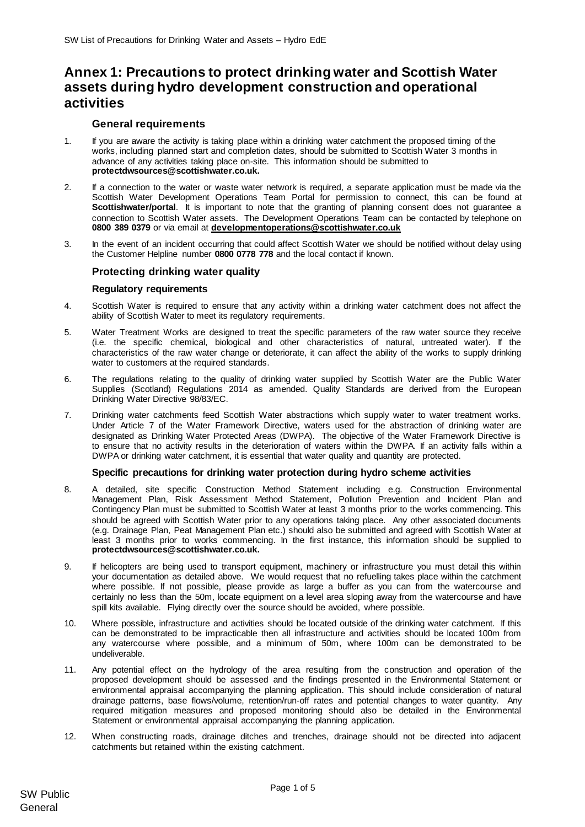# **Annex 1: Precautions to protect drinking water and Scottish Water assets during hydro development construction and operational activities**

# **General requirements**

- 1. If you are aware the activity is taking place within a drinking water catchment the proposed timing of the works, including planned start and completion dates, should be submitted to Scottish Water 3 months in advance of any activities taking place on-site. This information should be submitted to **protectdwsources@scottishwater.co.uk.**
- 2. If a connection to the water or waste water network is required, a separate application must be made via the Scottish Water Development Operations Team Portal for permission to connect, this can be found at **Scottishwater/portal**. It is important to note that the granting of planning consent does not guarantee a connection to Scottish Water assets. The Development Operations Team can be contacted by telephone on **0800 389 0379** or via email at **[developmentoperations@scottishwater.co.uk](mailto:developmentoperations@scottishwater.co.uk)**
- 3. In the event of an incident occurring that could affect Scottish Water we should be notified without delay using the Customer Helpline number **0800 0778 778** and the local contact if known.

# **Protecting drinking water quality**

### **Regulatory requirements**

- 4. Scottish Water is required to ensure that any activity within a drinking water catchment does not affect the ability of Scottish Water to meet its regulatory requirements.
- 5. Water Treatment Works are designed to treat the specific parameters of the raw water source they receive (i.e. the specific chemical, biological and other characteristics of natural, untreated water). If the characteristics of the raw water change or deteriorate, it can affect the ability of the works to supply drinking water to customers at the required standards.
- 6. The regulations relating to the quality of drinking water supplied by Scottish Water are the Public Water Supplies (Scotland) Regulations 2014 as amended. Quality Standards are derived from the European Drinking Water Directive 98/83/EC.
- 7. Drinking water catchments feed Scottish Water abstractions which supply water to water treatment works. Under Article 7 of the Water Framework Directive, waters used for the abstraction of drinking water are designated as Drinking Water Protected Areas (DWPA). The objective of the Water Framework Directive is to ensure that no activity results in the deterioration of waters within the DWPA. If an activity falls within a DWPA or drinking water catchment, it is essential that water quality and quantity are protected.

## **Specific precautions for drinking water protection during hydro scheme activities**

- 8. A detailed, site specific Construction Method Statement including e.g. Construction Environmental Management Plan, Risk Assessment Method Statement, Pollution Prevention and Incident Plan and Contingency Plan must be submitted to Scottish Water at least 3 months prior to the works commencing. This should be agreed with Scottish Water prior to any operations taking place. Any other associated documents (e.g. Drainage Plan, Peat Management Plan etc.) should also be submitted and agreed with Scottish Water at least 3 months prior to works commencing. In the first instance, this information should be supplied to **protectdwsources@scottishwater.co.uk.**
- 9. If helicopters are being used to transport equipment, machinery or infrastructure you must detail this within your documentation as detailed above. We would request that no refuelling takes place within the catchment where possible. If not possible, please provide as large a buffer as you can from the watercourse and certainly no less than the 50m, locate equipment on a level area sloping away from the watercourse and have spill kits available. Flying directly over the source should be avoided, where possible.
- 10. Where possible, infrastructure and activities should be located outside of the drinking water catchment. If this can be demonstrated to be impracticable then all infrastructure and activities should be located 100m from any watercourse where possible, and a minimum of 50m, where 100m can be demonstrated to be undeliverable.
- 11. Any potential effect on the hydrology of the area resulting from the construction and operation of the proposed development should be assessed and the findings presented in the Environmental Statement or environmental appraisal accompanying the planning application. This should include consideration of natural drainage patterns, base flows/volume, retention/run-off rates and potential changes to water quantity. Any required mitigation measures and proposed monitoring should also be detailed in the Environmental Statement or environmental appraisal accompanying the planning application.
- 12. When constructing roads, drainage ditches and trenches, drainage should not be directed into adjacent catchments but retained within the existing catchment.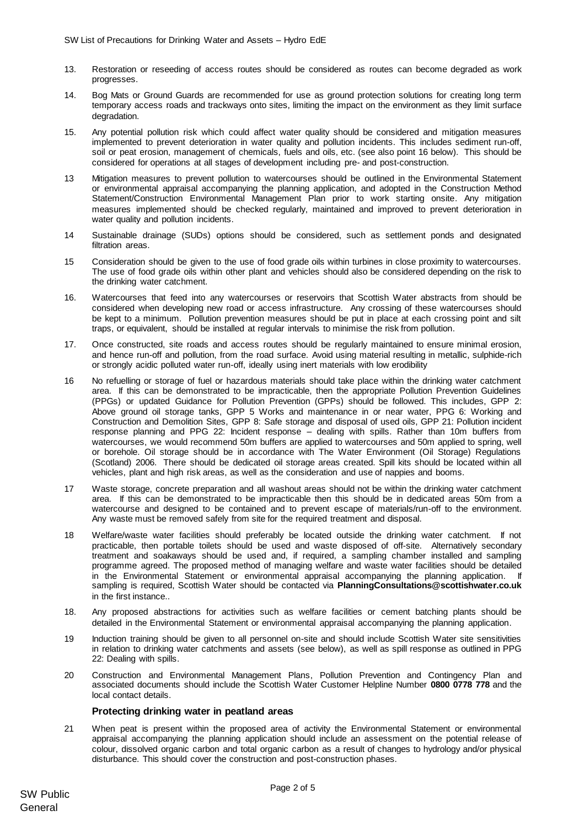- 13. Restoration or reseeding of access routes should be considered as routes can become degraded as work progresses.
- 14. Bog Mats or Ground Guards are recommended for use as ground protection solutions for creating long term temporary access roads and trackways onto sites, limiting the impact on the environment as they limit surface degradation.
- 15. Any potential pollution risk which could affect water quality should be considered and mitigation measures implemented to prevent deterioration in water quality and pollution incidents. This includes sediment run-off, soil or peat erosion, management of chemicals, fuels and oils, etc. (see also poin[t 16](#page-1-0) below). This should be considered for operations at all stages of development including pre- and post-construction.
- 13 Mitigation measures to prevent pollution to watercourses should be outlined in the Environmental Statement or environmental appraisal accompanying the planning application, and adopted in the Construction Method Statement/Construction Environmental Management Plan prior to work starting onsite. Any mitigation measures implemented should be checked regularly, maintained and improved to prevent deterioration in water quality and pollution incidents.
- 14 Sustainable drainage (SUDs) options should be considered, such as settlement ponds and designated filtration areas.
- 15 Consideration should be given to the use of food grade oils within turbines in close proximity to watercourses. The use of food grade oils within other plant and vehicles should also be considered depending on the risk to the drinking water catchment.
- 16. Watercourses that feed into any watercourses or reservoirs that Scottish Water abstracts from should be considered when developing new road or access infrastructure. Any crossing of these watercourses should be kept to a minimum. Pollution prevention measures should be put in place at each crossing point and silt traps, or equivalent, should be installed at regular intervals to minimise the risk from pollution.
- 17. Once constructed, site roads and access routes should be regularly maintained to ensure minimal erosion, and hence run-off and pollution, from the road surface. Avoid using material resulting in metallic, sulphide-rich or strongly acidic polluted water run-off, ideally using inert materials with low erodibility
- <span id="page-1-0"></span>16 No refuelling or storage of fuel or hazardous materials should take place within the drinking water catchment area. If this can be demonstrated to be impracticable, then the appropriate Pollution Prevention Guidelines (PPGs) or updated Guidance for Pollution Prevention (GPPs) should be followed. This includes, GPP 2: Above ground oil storage tanks, GPP 5 Works and maintenance in or near water, PPG 6: Working and Construction and Demolition Sites, GPP 8: Safe storage and disposal of used oils, GPP 21: Pollution incident response planning and PPG 22: Incident response – dealing with spills. Rather than 10m buffers from watercourses, we would recommend 50m buffers are applied to watercourses and 50m applied to spring, well or borehole. Oil storage should be in accordance with The Water Environment (Oil Storage) Regulations (Scotland) 2006. There should be dedicated oil storage areas created. Spill kits should be located within all vehicles, plant and high risk areas, as well as the consideration and use of nappies and booms.
- 17 Waste storage, concrete preparation and all washout areas should not be within the drinking water catchment area. If this can be demonstrated to be impracticable then this should be in dedicated areas 50m from a watercourse and designed to be contained and to prevent escape of materials/run-off to the environment. Any waste must be removed safely from site for the required treatment and disposal.
- 18 Welfare/waste water facilities should preferably be located outside the drinking water catchment. If not practicable, then portable toilets should be used and waste disposed of off-site. Alternatively secondary treatment and soakaways should be used and, if required, a sampling chamber installed and sampling programme agreed. The proposed method of managing welfare and waste water facilities should be detailed in the Environmental Statement or environmental appraisal accompanying the planning application. If sampling is required, Scottish Water should be contacted via **PlanningConsultations@scottishwater.co.uk** in the first instance..
- 18. Any proposed abstractions for activities such as welfare facilities or cement batching plants should be detailed in the Environmental Statement or environmental appraisal accompanying the planning application.
- 19 Induction training should be given to all personnel on-site and should include Scottish Water site sensitivities in relation to drinking water catchments and assets (see below), as well as spill response as outlined in PPG 22: Dealing with spills.
- 20 Construction and Environmental Management Plans, Pollution Prevention and Contingency Plan and associated documents should include the Scottish Water Customer Helpline Number **0800 0778 778** and the local contact details.

#### **Protecting drinking water in peatland areas**

21 When peat is present within the proposed area of activity the Environmental Statement or environmental appraisal accompanying the planning application should include an assessment on the potential release of colour, dissolved organic carbon and total organic carbon as a result of changes to hydrology and/or physical disturbance. This should cover the construction and post-construction phases.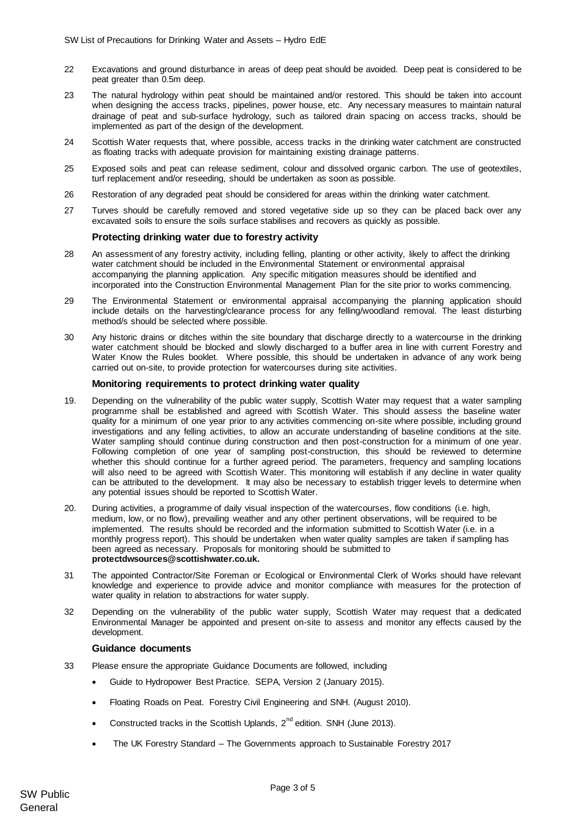- 22 Excavations and ground disturbance in areas of deep peat should be avoided. Deep peat is considered to be peat greater than 0.5m deep.
- 23 The natural hydrology within peat should be maintained and/or restored. This should be taken into account when designing the access tracks, pipelines, power house, etc. Any necessary measures to maintain natural drainage of peat and sub-surface hydrology, such as tailored drain spacing on access tracks, should be implemented as part of the design of the development.
- 24 Scottish Water requests that, where possible, access tracks in the drinking water catchment are constructed as floating tracks with adequate provision for maintaining existing drainage patterns.
- 25 Exposed soils and peat can release sediment, colour and dissolved organic carbon. The use of geotextiles, turf replacement and/or reseeding, should be undertaken as soon as possible.
- 26 Restoration of any degraded peat should be considered for areas within the drinking water catchment.
- 27 Turves should be carefully removed and stored vegetative side up so they can be placed back over any excavated soils to ensure the soils surface stabilises and recovers as quickly as possible.

#### **Protecting drinking water due to forestry activity**

- 28 An assessment of any forestry activity, including felling, planting or other activity, likely to affect the drinking water catchment should be included in the Environmental Statement or environmental appraisal accompanying the planning application. Any specific mitigation measures should be identified and incorporated into the Construction Environmental Management Plan for the site prior to works commencing.
- 29 The Environmental Statement or environmental appraisal accompanying the planning application should include details on the harvesting/clearance process for any felling/woodland removal. The least disturbing method/s should be selected where possible.
- 30 Any historic drains or ditches within the site boundary that discharge directly to a watercourse in the drinking water catchment should be blocked and slowly discharged to a buffer area in line with current Forestry and Water Know the Rules booklet. Where possible, this should be undertaken in advance of any work being carried out on-site, to provide protection for watercourses during site activities.

#### **Monitoring requirements to protect drinking water quality**

- 19. Depending on the vulnerability of the public water supply, Scottish Water may request that a water sampling programme shall be established and agreed with Scottish Water. This should assess the baseline water quality for a minimum of one year prior to any activities commencing on-site where possible, including ground investigations and any felling activities, to allow an accurate understanding of baseline conditions at the site. Water sampling should continue during construction and then post-construction for a minimum of one year. Following completion of one year of sampling post-construction, this should be reviewed to determine whether this should continue for a further agreed period. The parameters, frequency and sampling locations will also need to be agreed with Scottish Water. This monitoring will establish if any decline in water quality can be attributed to the development. It may also be necessary to establish trigger levels to determine when any potential issues should be reported to Scottish Water.
- 20. During activities, a programme of daily visual inspection of the watercourses, flow conditions (i.e. high, medium, low, or no flow), prevailing weather and any other pertinent observations, will be required to be implemented. The results should be recorded and the information submitted to Scottish Water (i.e. in a monthly progress report). This should be undertaken when water quality samples are taken if sampling has been agreed as necessary. Proposals for monitoring should be submitted to **protectdwsources@scottishwater.co.uk.**
- 31 The appointed Contractor/Site Foreman or Ecological or Environmental Clerk of Works should have relevant knowledge and experience to provide advice and monitor compliance with measures for the protection of water quality in relation to abstractions for water supply.
- 32 Depending on the vulnerability of the public water supply, Scottish Water may request that a dedicated Environmental Manager be appointed and present on-site to assess and monitor any effects caused by the development.

#### **Guidance documents**

- 33 Please ensure the appropriate Guidance Documents are followed, including
	- Guide to Hydropower Best Practice. SEPA, Version 2 (January 2015).
	- Floating Roads on Peat. Forestry Civil Engineering and SNH. (August 2010).
	- Constructed tracks in the Scottish Uplands,  $2^{nd}$  edition. SNH (June 2013).
	- The UK Forestry Standard The Governments approach to Sustainable Forestry 2017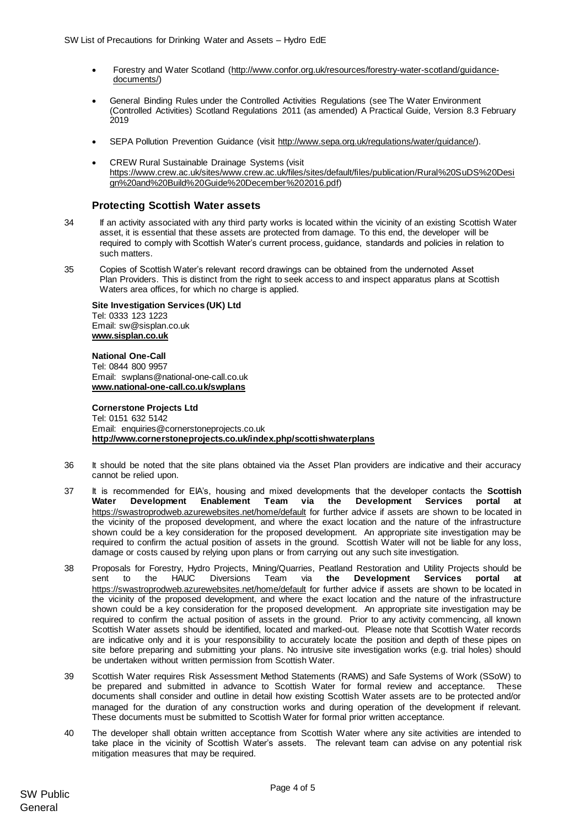- Forestry and Water Scotland [\(http://www.confor.org.uk/resources/forestry-water-scotland/guidance](http://www.confor.org.uk/resources/forestry-water-scotland/guidance-documents/)[documents/\)](http://www.confor.org.uk/resources/forestry-water-scotland/guidance-documents/)
- General Binding Rules under the Controlled Activities Regulations (see The Water Environment (Controlled Activities) Scotland Regulations 2011 (as amended) A Practical Guide, Version 8.3 February  $2019$
- SEPA Pollution Prevention Guidance (visit [http://www.sepa.org.uk/regulations/water/guidance/\).](http://www.sepa.org.uk/regulations/water/guidance/)
- CREW Rural Sustainable Drainage Systems (visit [https://www.crew.ac.uk/sites/www.crew.ac.uk/files/sites/default/files/publication/Rural%20SuDS%20Desi](https://www.crew.ac.uk/sites/www.crew.ac.uk/files/sites/default/files/publication/Rural%20SuDS%20Design%20and%20Build%20Guide%20December%202016.pdf) [gn%20and%20Build%20Guide%20December%202016.pdf\)](https://www.crew.ac.uk/sites/www.crew.ac.uk/files/sites/default/files/publication/Rural%20SuDS%20Design%20and%20Build%20Guide%20December%202016.pdf)

## **Protecting Scottish Water assets**

- 34 If an activity associated with any third party works is located within the vicinity of an existing Scottish Water asset, it is essential that these assets are protected from damage. To this end, the developer will be required to comply with Scottish Water's current process, guidance, standards and policies in relation to such matters.
- 35 Copies of Scottish Water's relevant record drawings can be obtained from the undernoted Asset Plan Providers. This is distinct from the right to seek access to and inspect apparatus plans at Scottish Waters area offices, for which no charge is applied.

**Site Investigation Services (UK) Ltd** Tel: 0333 123 1223 Email: sw@sisplan.co.uk **[www.sisplan.co.uk](http://www.sisplan.co.uk/)**

#### **National One-Call**

Tel: 0844 800 9957 Email: swplans@national-one-call.co.uk **[www.national-one-call.co.uk/swplans](http://www.national-one-call.co.uk/swplans)**

#### **Cornerstone Projects Ltd**

Tel: 0151 632 5142 Email: [enquiries@cornerstoneprojects.co.uk](mailto:enquiries@cornerstoneprojects.co.uk) **http://www.cornerstoneprojects.co.uk/index.php/scottishwaterplans**

- 36 It should be noted that the site plans obtained via the Asset Plan providers are indicative and their accuracy cannot be relied upon.
- 37 It is recommended for EIA's, housing and mixed developments that the developer contacts the **Scottish Water [Development](mailto:Development) Enablement Team via the Development Services portal at**  <https://swastroprodweb.azurewebsites.net/home/default> for further advice if assets are shown to be located in the vicinity of the proposed development, and where the exact location and the nature of the infrastructure shown could be a key consideration for the proposed development. An appropriate site investigation may be required to confirm the actual position of assets in the ground. Scottish Water will not be liable for any loss, damage or costs caused by relying upon plans or from carrying out any such site investigation.
- 38 Proposals for Forestry, Hydro Projects, Mining/Quarries, Peatland Restoration and Utility Projects should be sent to the HAUC Diversions Team via **[the](mailto:Hauc.diversions@scottishwater.co.uk) Development Services portal at**  <https://swastroprodweb.azurewebsites.net/home/default> for further advice if assets are shown to be located in the vicinity of the proposed development, and where the exact location and the nature of the infrastructure shown could be a key consideration for the proposed development. An appropriate site investigation may be required to confirm the actual position of assets in the ground. Prior to any activity commencing, all known Scottish Water assets should be identified, located and marked-out. Please note that Scottish Water records are indicative only and it is your responsibility to accurately locate the position and depth of these pipes on site before preparing and submitting your plans. No intrusive site investigation works (e.g. trial holes) should be undertaken without written permission from Scottish Water.
- 39 Scottish Water requires Risk Assessment Method Statements (RAMS) and Safe Systems of Work (SSoW) to be prepared and submitted in advance to Scottish Water for formal review and acceptance. These documents shall consider and outline in detail how existing Scottish Water assets are to be protected and/or managed for the duration of any construction works and during operation of the development if relevant. These documents must be submitted to Scottish Water for formal prior written acceptance.
- 40 The developer shall obtain written acceptance from Scottish Water where any site activities are intended to take place in the vicinity of Scottish Water's assets. The relevant team can advise on any potential risk mitigation measures that may be required.